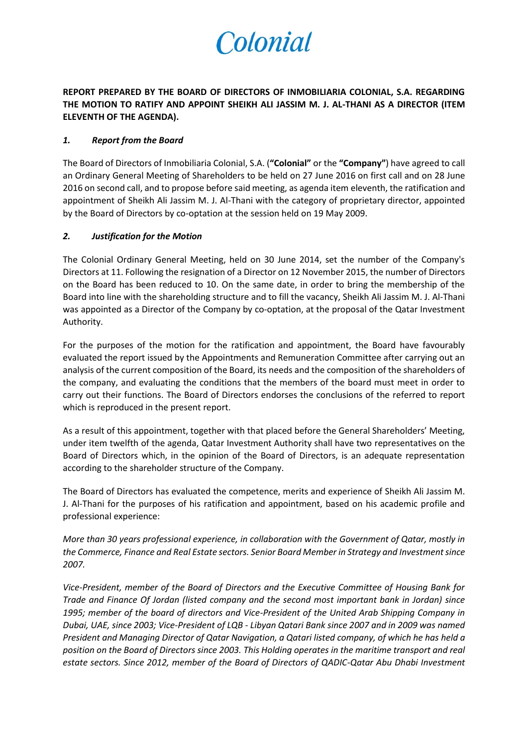## Colonial

**REPORT PREPARED BY THE BOARD OF DIRECTORS OF INMOBILIARIA COLONIAL, S.A. REGARDING THE MOTION TO RATIFY AND APPOINT SHEIKH ALI JASSIM M. J. AL-THANI AS A DIRECTOR (ITEM ELEVENTH OF THE AGENDA).**

## *1. Report from the Board*

The Board of Directors of Inmobiliaria Colonial, S.A. (**"Colonial"** or the **"Company"**) have agreed to call an Ordinary General Meeting of Shareholders to be held on 27 June 2016 on first call and on 28 June 2016 on second call, and to propose before said meeting, as agenda item eleventh, the ratification and appointment of Sheikh Ali Jassim M. J. Al-Thani with the category of proprietary director, appointed by the Board of Directors by co-optation at the session held on 19 May 2009.

## *2. Justification for the Motion*

The Colonial Ordinary General Meeting, held on 30 June 2014, set the number of the Company's Directors at 11. Following the resignation of a Director on 12 November 2015, the number of Directors on the Board has been reduced to 10. On the same date, in order to bring the membership of the Board into line with the shareholding structure and to fill the vacancy, Sheikh Ali Jassim M. J. Al-Thani was appointed as a Director of the Company by co-optation, at the proposal of the Qatar Investment Authority.

For the purposes of the motion for the ratification and appointment, the Board have favourably evaluated the report issued by the Appointments and Remuneration Committee after carrying out an analysis of the current composition of the Board, its needs and the composition of the shareholders of the company, and evaluating the conditions that the members of the board must meet in order to carry out their functions. The Board of Directors endorses the conclusions of the referred to report which is reproduced in the present report.

As a result of this appointment, together with that placed before the General Shareholders' Meeting, under item twelfth of the agenda, Qatar Investment Authority shall have two representatives on the Board of Directors which, in the opinion of the Board of Directors, is an adequate representation according to the shareholder structure of the Company.

The Board of Directors has evaluated the competence, merits and experience of Sheikh Ali Jassim M. J. Al-Thani for the purposes of his ratification and appointment, based on his academic profile and professional experience:

*More than 30 years professional experience, in collaboration with the Government of Qatar, mostly in the Commerce, Finance and Real Estate sectors. Senior Board Member in Strategy and Investment since 2007.*

*Vice-President, member of the Board of Directors and the Executive Committee of Housing Bank for Trade and Finance Of Jordan (listed company and the second most important bank in Jordan) since 1995; member of the board of directors and Vice-President of the United Arab Shipping Company in Dubai, UAE, since 2003; Vice-President of LQB - Libyan Qatari Bank since 2007 and in 2009 was named President and Managing Director of Qatar Navigation, a Qatari listed company, of which he has held a position on the Board of Directors since 2003. This Holding operates in the maritime transport and real estate sectors. Since 2012, member of the Board of Directors of QADIC-Qatar Abu Dhabi Investment*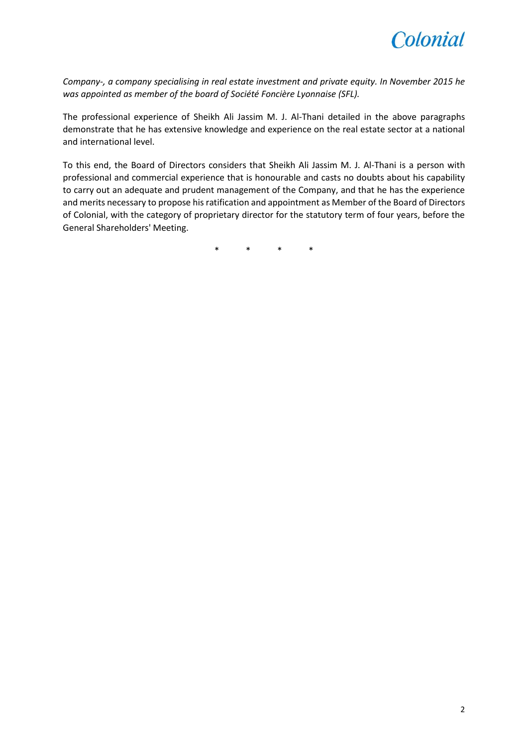

*Company-, a company specialising in real estate investment and private equity. In November 2015 he was appointed as member of the board of Société Foncière Lyonnaise (SFL).*

The professional experience of Sheikh Ali Jassim M. J. Al-Thani detailed in the above paragraphs demonstrate that he has extensive knowledge and experience on the real estate sector at a national and international level.

To this end, the Board of Directors considers that Sheikh Ali Jassim M. J. Al-Thani is a person with professional and commercial experience that is honourable and casts no doubts about his capability to carry out an adequate and prudent management of the Company, and that he has the experience and merits necessary to propose his ratification and appointment as Member of the Board of Directors of Colonial, with the category of proprietary director for the statutory term of four years, before the General Shareholders' Meeting.

\* \* \* \*